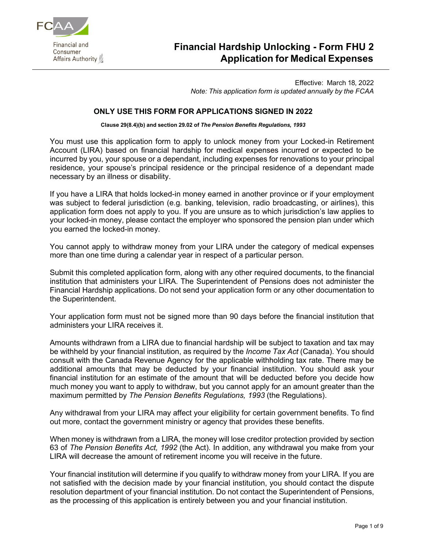

# **Financial Hardship Unlocking - Form FHU 2 Application for Medical Expenses**

Effective: March 18, 2022 *Note: This application form is updated annually by the FCAA*

#### **ONLY USE THIS FORM FOR APPLICATIONS SIGNED IN 2022**

**Clause 29(8.4)(b) and section 29.02 of** *The Pension Benefits Regulations, 1993*

You must use this application form to apply to unlock money from your Locked-in Retirement Account (LIRA) based on financial hardship for medical expenses incurred or expected to be incurred by you, your spouse or a dependant, including expenses for renovations to your principal residence, your spouse's principal residence or the principal residence of a dependant made necessary by an illness or disability.

If you have a LIRA that holds locked-in money earned in another province or if your employment was subject to federal jurisdiction (e.g. banking, television, radio broadcasting, or airlines), this application form does not apply to you. If you are unsure as to which jurisdiction's law applies to your locked-in money, please contact the employer who sponsored the pension plan under which you earned the locked-in money.

You cannot apply to withdraw money from your LIRA under the category of medical expenses more than one time during a calendar year in respect of a particular person.

Submit this completed application form, along with any other required documents, to the financial institution that administers your LIRA. The Superintendent of Pensions does not administer the Financial Hardship applications. Do not send your application form or any other documentation to the Superintendent.

Your application form must not be signed more than 90 days before the financial institution that administers your LIRA receives it.

Amounts withdrawn from a LIRA due to financial hardship will be subject to taxation and tax may be withheld by your financial institution, as required by the *Income Tax Act* (Canada). You should consult with the Canada Revenue Agency for the applicable withholding tax rate. There may be additional amounts that may be deducted by your financial institution. You should ask your financial institution for an estimate of the amount that will be deducted before you decide how much money you want to apply to withdraw, but you cannot apply for an amount greater than the maximum permitted by *The Pension Benefits Regulations, 1993* (the Regulations).

Any withdrawal from your LIRA may affect your eligibility for certain government benefits. To find out more, contact the government ministry or agency that provides these benefits.

When money is withdrawn from a LIRA, the money will lose creditor protection provided by section 63 of *The Pension Benefits Act, 1992* (the Act). In addition, any withdrawal you make from your LIRA will decrease the amount of retirement income you will receive in the future.

Your financial institution will determine if you qualify to withdraw money from your LIRA. If you are not satisfied with the decision made by your financial institution, you should contact the dispute resolution department of your financial institution. Do not contact the Superintendent of Pensions, as the processing of this application is entirely between you and your financial institution.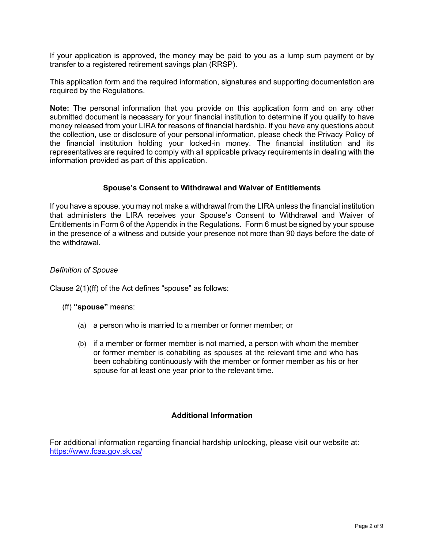If your application is approved, the money may be paid to you as a lump sum payment or by transfer to a registered retirement savings plan (RRSP).

This application form and the required information, signatures and supporting documentation are required by the Regulations.

**Note:** The personal information that you provide on this application form and on any other submitted document is necessary for your financial institution to determine if you qualify to have money released from your LIRA for reasons of financial hardship. If you have any questions about the collection, use or disclosure of your personal information, please check the Privacy Policy of the financial institution holding your locked-in money. The financial institution and its representatives are required to comply with all applicable privacy requirements in dealing with the information provided as part of this application.

#### **Spouse's Consent to Withdrawal and Waiver of Entitlements**

If you have a spouse, you may not make a withdrawal from the LIRA unless the financial institution that administers the LIRA receives your Spouse's Consent to Withdrawal and Waiver of Entitlements in Form 6 of the Appendix in the Regulations. Form 6 must be signed by your spouse in the presence of a witness and outside your presence not more than 90 days before the date of the withdrawal.

#### *Definition of Spouse*

Clause 2(1)(ff) of the Act defines "spouse" as follows:

(ff) **"spouse"** means:

- (a) a person who is married to a member or former member; or
- (b) if a member or former member is not married, a person with whom the member or former member is cohabiting as spouses at the relevant time and who has been cohabiting continuously with the member or former member as his or her spouse for at least one year prior to the relevant time.

#### **Additional Information**

For additional information regarding financial hardship unlocking, please visit our website at: <https://www.fcaa.gov.sk.ca/>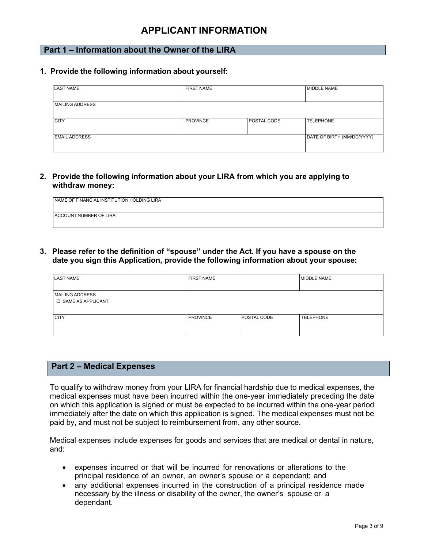## **APPLICANT INFORMATION**

## **Part 1 – Information about the Owner of the LIRA**

#### **1. Provide the following information about yourself:**

| <b>LAST NAME</b>       | <b>FIRST NAME</b> | MIDDLE NAME |                            |  |
|------------------------|-------------------|-------------|----------------------------|--|
| <b>MAILING ADDRESS</b> |                   |             |                            |  |
| <b>CITY</b>            | <b>PROVINCE</b>   | POSTAL CODE | <b>TELEPHONE</b>           |  |
| <b>EMAIL ADDRESS</b>   |                   |             | DATE OF BIRTH (MM/DD/YYYY) |  |

#### **2. Provide the following information about your LIRA from which you are applying to withdraw money:**

| NAME OF FINANCIAL INSTITUTION HOLDING LIRA |  |
|--------------------------------------------|--|
| ACCOUNT NUMBER OF LIRA                     |  |

## **3. Please refer to the definition of "spouse" under the Act***.* **If you have a spouse on the date you sign this Application, provide the following information about your spouse:**

| <b>LAST NAME</b>                                     | <b>FIRST NAME</b> |             | <b>MIDDLE NAME</b> |
|------------------------------------------------------|-------------------|-------------|--------------------|
| <b>MAILING ADDRESS</b><br><b>D SAME AS APPLICANT</b> |                   |             |                    |
| <b>CITY</b>                                          | <b>PROVINCE</b>   | POSTAL CODE | <b>TELEPHONE</b>   |

#### **Part 2 – Medical Expenses**

To qualify to withdraw money from your LIRA for financial hardship due to medical expenses, the medical expenses must have been incurred within the one-year immediately preceding the date on which this application is signed or must be expected to be incurred within the one-year period immediately after the date on which this application is signed. The medical expenses must not be paid by, and must not be subject to reimbursement from, any other source.

Medical expenses include expenses for goods and services that are medical or dental in nature, and:

- expenses incurred or that will be incurred for renovations or alterations to the principal residence of an owner, an owner's spouse or a dependant; and
- any additional expenses incurred in the construction of a principal residence made necessary by the illness or disability of the owner, the owner's spouse or a dependant.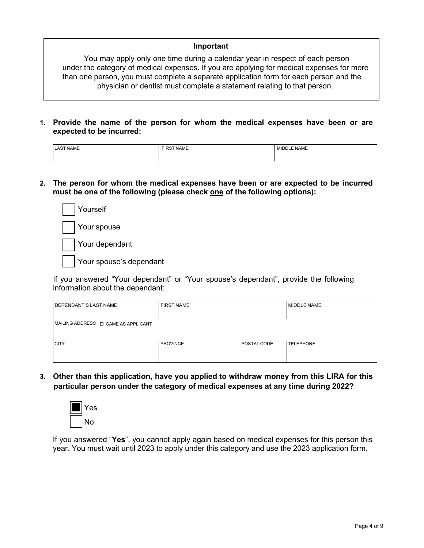## **Important**

You may apply only one time during a calendar year in respect of each person under the category of medical expenses. If you are applying for medical expenses for more than one person, you must complete a separate application form for each person and the physician or dentist must complete a statement relating to that person.

**1. Provide the name of the person for whom the medical expenses have been or are expected to be incurred:**

| <b>NAME</b><br>LAST<br>______ | <b>FIRST NAME</b> | <b>E NAME</b><br>MID <sup>r</sup> |
|-------------------------------|-------------------|-----------------------------------|
|                               |                   |                                   |

**2. The person for whom the medical expenses have been or are expected to be incurred must be one of the following (please check one of the following options):**

| Yourself                |
|-------------------------|
| Your spouse             |
| Your dependant          |
| Your spouse's dependant |

If you answered "Your dependant" or "Your spouse's dependant", provide the following information about the dependant:

| DEPENDANT'S LAST NAME                    | <b>FIRST NAME</b> |             | <b>MIDDLE NAME</b> |  |  |
|------------------------------------------|-------------------|-------------|--------------------|--|--|
|                                          |                   |             |                    |  |  |
| MAILING ADDRESS $\Box$ SAME AS APPLICANT |                   |             |                    |  |  |
|                                          |                   |             |                    |  |  |
|                                          |                   |             |                    |  |  |
| <b>CITY</b>                              | <b>PROVINCE</b>   | POSTAL CODE | <b>I TELEPHONE</b> |  |  |
|                                          |                   |             |                    |  |  |
|                                          |                   |             |                    |  |  |

**3. Other than this application, have you applied to withdraw money from this LIRA for this particular person under the category of medical expenses at any time during 2022?**



If you answered "**Yes**", you cannot apply again based on medical expenses for this person this year. You must wait until 2023 to apply under this category and use the 2023 application form.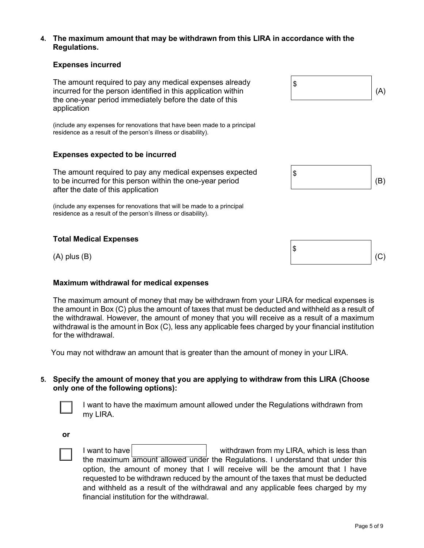#### **4. The maximum amount that may be withdrawn from this LIRA in accordance with the Regulations.**

## **Expenses incurred**

The amount required to pay any medical expenses already incurred for the person identified in this application within (A) the one-year period immediately before the date of this application

(include any expenses for renovations that have been made to a principal residence as a result of the person's illness or disability).

#### **Expenses expected to be incurred**

The amount required to pay any medical expenses expected to be incurred for this person within the one-year period after the date of this application

(include any expenses for renovations that will be made to a principal residence as a result of the person's illness or disability).

#### **Total Medical Expenses**

#### **Maximum withdrawal for medical expenses**

The maximum amount of money that may be withdrawn from your LIRA for medical expenses is the amount in Box (C) plus the amount of taxes that must be deducted and withheld as a result of the withdrawal. However, the amount of money that you will receive as a result of a maximum withdrawal is the amount in Box (C), less any applicable fees charged by your financial institution for the withdrawal.

You may not withdraw an amount that is greater than the amount of money in your LIRA.

#### **5. Specify the amount of money that you are applying to withdraw from this LIRA (Choose only one of the following options):**

I want to have the maximum amount allowed under the Regulations withdrawn from my LIRA.

**or**



I want to have withdrawn from my LIRA, which is less than the maximum amount allowed under the Regulations. I understand that under this option, the amount of money that I will receive will be the amount that I have requested to be withdrawn reduced by the amount of the taxes that must be deducted and withheld as a result of the withdrawal and any applicable fees charged by my financial institution for the withdrawal.



\$

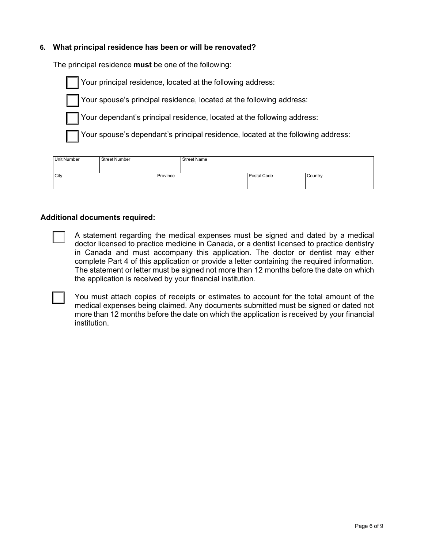### **6. What principal residence has been or will be renovated?**

The principal residence **must** be one of the following:

Your principal residence, located at the following address:

Your spouse's principal residence, located at the following address:



Your spouse's dependant's principal residence, located at the following address:

| Unit Number      | Street Number |  | <b>Street Name</b> |         |  |
|------------------|---------------|--|--------------------|---------|--|
|                  |               |  |                    |         |  |
| City<br>Province |               |  | Postal Code        | Country |  |
|                  |               |  |                    |         |  |

#### **Additional documents required:**

Г

A statement regarding the medical expenses must be signed and dated by a medical doctor licensed to practice medicine in Canada, or a dentist licensed to practice dentistry in Canada and must accompany this application. The doctor or dentist may either complete Part 4 of this application or provide a letter containing the required information. The statement or letter must be signed not more than 12 months before the date on which the application is received by your financial institution.

You must attach copies of receipts or estimates to account for the total amount of the medical expenses being claimed. Any documents submitted must be signed or dated not more than 12 months before the date on which the application is received by your financial institution.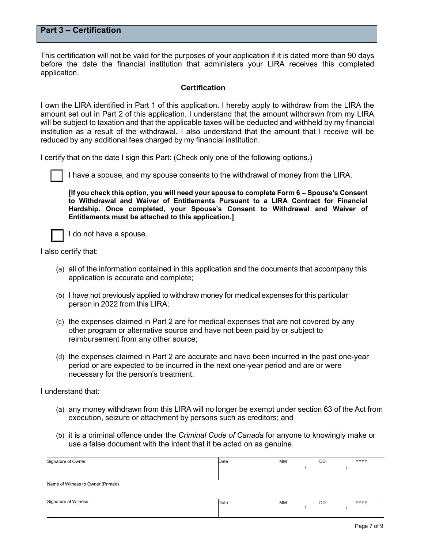## **Part 3 – Certification**

This certification will not be valid for the purposes of your application if it is dated more than 90 days before the date the financial institution that administers your LIRA receives this completed application.

#### **Certification**

I own the LIRA identified in Part 1 of this application. I hereby apply to withdraw from the LIRA the amount set out in Part 2 of this application. I understand that the amount withdrawn from my LIRA will be subject to taxation and that the applicable taxes will be deducted and withheld by my financial institution as a result of the withdrawal. I also understand that the amount that I receive will be reduced by any additional fees charged by my financial institution.

I certify that on the date I sign this Part: (Check only one of the following options.)



I have a spouse, and my spouse consents to the withdrawal of money from the LIRA.

**[If you check this option, you will need your spouse to complete Form 6 – Spouse's Consent to Withdrawal and Waiver of Entitlements Pursuant to a LIRA Contract for Financial Hardship. Once completed, your Spouse's Consent to Withdrawal and Waiver of Entitlements must be attached to this application.]**



I do not have a spouse.

I also certify that:

- (a) all of the information contained in this application and the documents that accompany this application is accurate and complete;
- (b) I have not previously applied to withdraw money for medical expenses for this particular person in 2022 from this LIRA;
- (c) the expenses claimed in Part 2 are for medical expenses that are not covered by any other program or alternative source and have not been paid by or subject to reimbursement from any other source;
- (d) the expenses claimed in Part 2 are accurate and have been incurred in the past one-year period or are expected to be incurred in the next one-year period and are or were necessary for the person's treatment.

I understand that:

- (a) any money withdrawn from this LIRA will no longer be exempt under section 63 of the Act from execution, seizure or attachment by persons such as creditors; and
- (b) it is a criminal offence under the *Criminal Code of Canada* for anyone to knowingly make or use a false document with the intent that it be acted on as genuine.

| Signature of Owner                 | Date | MM | DD.       | YYYY        |
|------------------------------------|------|----|-----------|-------------|
|                                    |      |    |           |             |
|                                    |      |    |           |             |
| Name of Witness to Owner (Printed) |      |    |           |             |
|                                    |      |    |           |             |
|                                    |      |    |           |             |
| <b>Signature of Witness</b>        | Date | MM | <b>DD</b> | <b>YYYY</b> |
|                                    |      |    |           |             |
|                                    |      |    |           |             |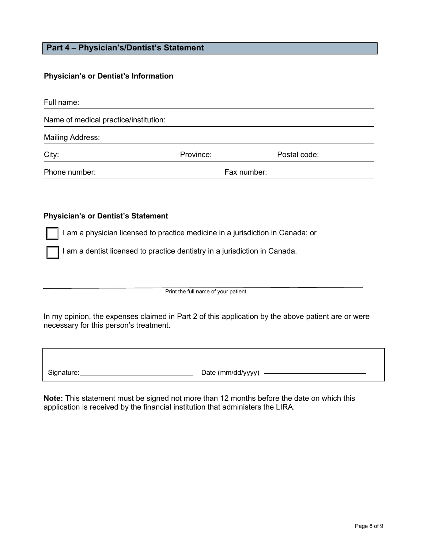## **Part 4 – Physician's/Dentist's Statement**

### **Physician's or Dentist's Information**

| Full name:                            |           |             |              |
|---------------------------------------|-----------|-------------|--------------|
| Name of medical practice/institution: |           |             |              |
| <b>Mailing Address:</b>               |           |             |              |
| City:                                 | Province: |             | Postal code: |
| Phone number:                         |           | Fax number: |              |

#### **Physician's or Dentist's Statement**

I am a physician licensed to practice medicine in a jurisdiction in Canada; or

I am a dentist licensed to practice dentistry in a jurisdiction in Canada.

Print the full name of your patient

In my opinion, the expenses claimed in Part 2 of this application by the above patient are or were necessary for this person's treatment.

Signature: <u>Chamber (Mate (mm/dd/yyyy)</u> Date (mm/dd/yyyy)

**Note:** This statement must be signed not more than 12 months before the date on which this application is received by the financial institution that administers the LIRA.